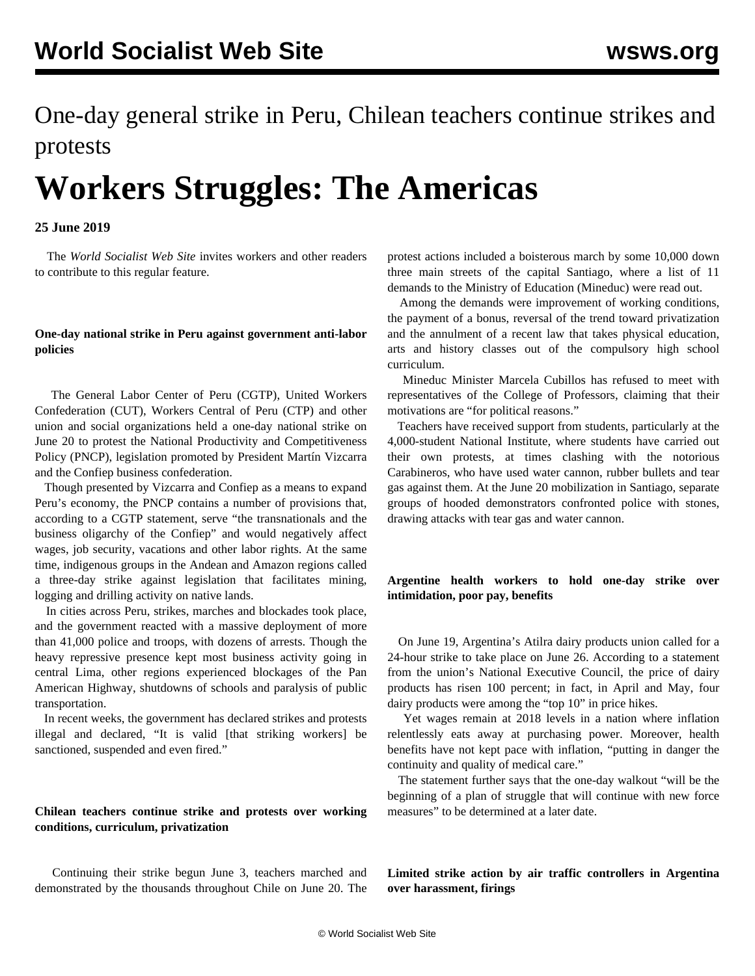## One-day general strike in Peru, Chilean teachers continue strikes and protests

# **Workers Struggles: The Americas**

#### **25 June 2019**

 The *World Socialist Web Site* invites workers and other readers to [contribute](/en/special/contact.html) to this regular feature.

#### **One-day national strike in Peru against government anti-labor policies**

 The General Labor Center of Peru (CGTP), United Workers Confederation (CUT), Workers Central of Peru (CTP) and other union and social organizations held a one-day national strike on June 20 to protest the National Productivity and Competitiveness Policy (PNCP), legislation promoted by President Martín Vizcarra and the Confiep business confederation.

 Though presented by Vizcarra and Confiep as a means to expand Peru's economy, the PNCP contains a number of provisions that, according to a CGTP statement, serve "the transnationals and the business oligarchy of the Confiep" and would negatively affect wages, job security, vacations and other labor rights. At the same time, indigenous groups in the Andean and Amazon regions called a three-day strike against legislation that facilitates mining, logging and drilling activity on native lands.

 In cities across Peru, strikes, marches and blockades took place, and the government reacted with a massive deployment of more than 41,000 police and troops, with dozens of arrests. Though the heavy repressive presence kept most business activity going in central Lima, other regions experienced blockages of the Pan American Highway, shutdowns of schools and paralysis of public transportation.

 In recent weeks, the government has declared strikes and protests illegal and declared, "It is valid [that striking workers] be sanctioned, suspended and even fired."

#### **Chilean teachers continue strike and protests over working conditions, curriculum, privatization**

 Continuing their strike begun June 3, teachers marched and demonstrated by the thousands throughout Chile on June 20. The protest actions included a boisterous march by some 10,000 down three main streets of the capital Santiago, where a list of 11 demands to the Ministry of Education (Mineduc) were read out.

 Among the demands were improvement of working conditions, the payment of a bonus, reversal of the trend toward privatization and the annulment of a recent law that takes physical education, arts and history classes out of the compulsory high school curriculum.

 Mineduc Minister Marcela Cubillos has refused to meet with representatives of the College of Professors, claiming that their motivations are "for political reasons."

 Teachers have received support from students, particularly at the 4,000-student National Institute, where students have carried out their own protests, at times clashing with the notorious Carabineros, who have used water cannon, rubber bullets and tear gas against them. At the June 20 mobilization in Santiago, separate groups of hooded demonstrators confronted police with stones, drawing attacks with tear gas and water cannon.

#### **Argentine health workers to hold one-day strike over intimidation, poor pay, benefits**

 On June 19, Argentina's Atilra dairy products union called for a 24-hour strike to take place on June 26. According to a statement from the union's National Executive Council, the price of dairy products has risen 100 percent; in fact, in April and May, four dairy products were among the "top 10" in price hikes.

 Yet wages remain at 2018 levels in a nation where inflation relentlessly eats away at purchasing power. Moreover, health benefits have not kept pace with inflation, "putting in danger the continuity and quality of medical care."

 The statement further says that the one-day walkout "will be the beginning of a plan of struggle that will continue with new force measures" to be determined at a later date.

**Limited strike action by air traffic controllers in Argentina over harassment, firings**